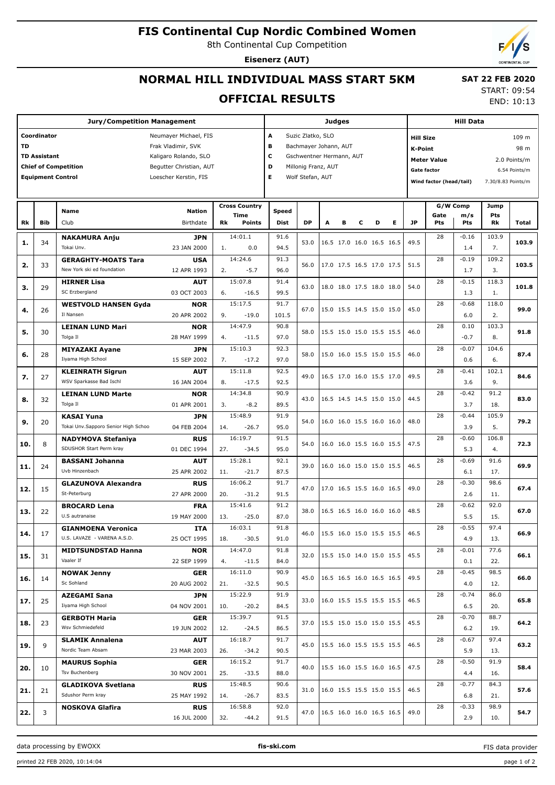## **FIS Continental Cup Nordic Combined Women**

8th Continental Cup Competition

**Eisenerz (AUT)**

# **NORMAL HILL INDIVIDUAL MASS START 5KM**

# **SAT 22 FEB 2020**

#### **OFFICIAL RESULTS**

START: 09:54 END: 10:13

|     |                          | <b>Jury/Competition Management</b>                                              | <b>Judges</b>                      |                               |                  |   |   |   | <b>Hill Data</b>                     |                                    |                                               |                |             |               |  |
|-----|--------------------------|---------------------------------------------------------------------------------|------------------------------------|-------------------------------|------------------|---|---|---|--------------------------------------|------------------------------------|-----------------------------------------------|----------------|-------------|---------------|--|
|     | Coordinator              | Neumayer Michael, FIS                                                           | A<br>Suzic Zlatko, SLO             |                               |                  |   |   |   | 109 m                                |                                    |                                               |                |             |               |  |
| TD  |                          | Frak Vladimir, SVK                                                              |                                    | в<br>Bachmayer Johann, AUT    |                  |   |   |   |                                      | <b>Hill Size</b><br>98 m           |                                               |                |             |               |  |
|     | <b>TD Assistant</b>      | Kaligaro Rolando, SLO                                                           |                                    | c<br>Gschwentner Hermann, AUT |                  |   |   |   |                                      |                                    | K-Point                                       |                |             |               |  |
|     |                          | <b>Chief of Competition</b><br>Begutter Christian, AUT                          |                                    | D<br>Millonig Franz, AUT      |                  |   |   |   |                                      | <b>Meter Value</b><br>2.0 Points/m |                                               |                |             |               |  |
|     | <b>Equipment Control</b> | Loescher Kerstin, FIS                                                           |                                    | Е                             | Wolf Stefan, AUT |   |   |   |                                      | Gate factor                        |                                               |                |             | 6.54 Points/m |  |
|     |                          |                                                                                 |                                    |                               |                  |   |   |   |                                      |                                    | Wind factor (head/tail)<br>7.30/8.83 Points/m |                |             |               |  |
|     |                          |                                                                                 |                                    |                               |                  |   |   |   |                                      |                                    |                                               |                |             |               |  |
|     |                          | <b>Nation</b><br><b>Name</b>                                                    | <b>Cross Country</b>               | Speed                         |                  |   |   |   |                                      |                                    |                                               | G/W Comp       | Jump        |               |  |
| Rk  | <b>Bib</b>               | Club<br>Birthdate                                                               | Time<br><b>Rk</b><br><b>Points</b> | <b>Dist</b>                   | <b>DP</b>        | A | в | с | Е<br>D                               | <b>JP</b>                          | Gate<br>Pts                                   | m/s<br>Pts     | Pts<br>Rk   | Total         |  |
|     |                          |                                                                                 |                                    |                               |                  |   |   |   |                                      |                                    |                                               |                |             |               |  |
| 1.  | 34                       | <b>NAKAMURA Anju</b><br><b>JPN</b>                                              | 14:01.1                            | 91.6                          | 53.0             |   |   |   | 16.5 17.0 16.0 16.5 16.5             | 49.5                               | 28                                            | $-0.16$        | 103.9       | 103.9         |  |
|     |                          | Tokai Unv.<br>23 JAN 2000                                                       | 1.<br>0.0                          | 94.5                          |                  |   |   |   |                                      |                                    |                                               | 1.4            | 7.          |               |  |
| 2.  | 33                       | <b>GERAGHTY-MOATS Tara</b><br><b>USA</b>                                        | 14:24.6                            | 91.3                          | 56.0             |   |   |   | 17.0 17.5 16.5 17.0 17.5             | 51.5                               | 28                                            | $-0.19$        | 109.2       | 103.5         |  |
|     |                          | New York ski ed foundation<br>12 APR 1993                                       | $-5.7$<br>2.                       | 96.0                          |                  |   |   |   |                                      |                                    |                                               | 1.7            | 3.          |               |  |
| з.  | 29                       | <b>HIRNER Lisa</b><br><b>AUT</b><br>SC Erzbergland                              | 15:07.8                            | 91.4                          | 63.0             |   |   |   | 18.0 18.0 17.5 18.0 18.0             | 54.0                               | 28                                            | $-0.15$        | 118.3       | 101.8         |  |
|     |                          | 03 OCT 2003                                                                     | 6.<br>$-16.5$                      | 99.5                          |                  |   |   |   |                                      |                                    |                                               | 1.3            | 1.          |               |  |
| 4.  | 26                       | <b>WESTVOLD HANSEN Gyda</b><br><b>NOR</b><br>Il Nansen                          | 15:17.5                            | 91.7                          | 67.0             |   |   |   | 15.0 15.5 14.5 15.0 15.0             | 45.0                               | 28                                            | $-0.68$        | 118.0       | 99.0          |  |
|     |                          | 20 APR 2002                                                                     | 9.<br>$-19.0$                      | 101.5                         |                  |   |   |   |                                      |                                    |                                               | 6.0            | 2.          |               |  |
| 5.  | 30                       | <b>LEINAN LUND Mari</b><br><b>NOR</b><br>Tolga II<br>28 MAY 1999                | 14:47.9<br>4.<br>$-11.5$           | 90.8<br>97.0                  | 58.0             |   |   |   | 15.5 15.0 15.0 15.5 15.5             | 46.0                               | 28                                            | 0.10<br>$-0.7$ | 103.3<br>8. | 91.8          |  |
|     |                          |                                                                                 | 15:10.3                            | 92.3                          |                  |   |   |   |                                      |                                    |                                               | $-0.07$        | 104.6       |               |  |
| 6.  | 28                       | <b>MIYAZAKI Ayane</b><br><b>JPN</b><br>Iiyama High School                       | 7.<br>$-17.2$                      | 97.0                          | 58.0             |   |   |   | 15.0 16.0 15.5 15.0 15.5             | 46.0                               | 28                                            | 0.6            | 6.          | 87.4          |  |
|     |                          | 15 SEP 2002                                                                     | 15:11.8                            | 92.5                          |                  |   |   |   |                                      |                                    | 28                                            | $-0.41$        | 102.1       |               |  |
| 7.  | 27                       | <b>AUT</b><br><b>KLEINRATH Sigrun</b><br>WSV Sparkasse Bad Ischl<br>16 JAN 2004 | 8.<br>$-17.5$                      | 92.5                          | 49.0             |   |   |   | 16.5 17.0 16.0 15.5 17.0             | 49.5                               |                                               | 3.6            | 9.          | 84.6          |  |
|     |                          |                                                                                 | 14:34.8                            | 90.9                          |                  |   |   |   |                                      |                                    | 28                                            | $-0.42$        | 91.2        |               |  |
| 8.  | 32                       | <b>LEINAN LUND Marte</b><br><b>NOR</b><br>Tolga II<br>01 APR 2001               | 3.<br>$-8.2$                       | 89.5                          | 43.0             |   |   |   | 16.5 14.5 14.5 15.0 15.0             | 44.5                               |                                               | 3.7            | 18.         | 83.0          |  |
|     |                          | <b>KASAI Yuna</b><br><b>JPN</b>                                                 | 15:48.9                            | 91.9                          |                  |   |   |   |                                      |                                    | 28                                            | $-0.44$        | 105.9       |               |  |
| 9.  | 20                       | Tokai Unv.Sapporo Senior High Schoo<br>04 FEB 2004                              | 14.<br>$-26.7$                     | 95.0                          | 54.0             |   |   |   | 16.0 16.0 15.5 16.0 16.0             | 48.0                               |                                               | 3.9            | 5.          | 79.2          |  |
|     |                          | <b>NADYMOVA Stefaniya</b><br><b>RUS</b>                                         | 16:19.7                            | 91.5                          |                  |   |   |   |                                      |                                    | 28                                            | $-0.60$        | 106.8       |               |  |
| 10. | 8                        | SDUSHOR Start Perm kray<br>01 DEC 1994                                          | 27.<br>$-34.5$                     | 95.0                          | 54.0             |   |   |   | 16.0 16.0 15.5 16.0 15.5             | 47.5                               |                                               | 5.3            | 4.          | 72.3          |  |
|     |                          | <b>BASSANI Johanna</b><br><b>AUT</b>                                            | 15:28.1                            | 92.1                          |                  |   |   |   |                                      |                                    | 28                                            | $-0.69$        | 91.6        |               |  |
| 11. | 24                       | Uvb Hinzenbach<br>25 APR 2002                                                   | 11.<br>$-21.7$                     | 87.5                          | 39.0             |   |   |   | 16.0 16.0 15.0 15.0 15.5             | 46.5                               |                                               | 6.1            | 17.         | 69.9          |  |
|     |                          | <b>GLAZUNOVA Alexandra</b><br><b>RUS</b>                                        | 16:06.2                            | 91.7                          |                  |   |   |   |                                      |                                    | 28                                            | $-0.30$        | 98.6        |               |  |
| 12. | 15                       | St-Peterburg<br>27 APR 2000                                                     | 20.<br>$-31.2$                     | 91.5                          | 47.0             |   |   |   | 17.0 16.5 15.5 16.0 16.5             | 49.0                               |                                               | 2.6            | 11.         | 67.4          |  |
|     |                          | <b>BROCARD Lena</b><br><b>FRA</b>                                               | 15:41.6                            | 91.2                          |                  |   |   |   |                                      |                                    | 28                                            | $-0.62$        | 92.0        |               |  |
| 13. | 22                       | U.S autranaise<br>19 MAY 2000                                                   | 13.<br>$-25.0$                     | 87.0                          | 38.0             |   |   |   | 16.5 16.5 16.0 16.0 16.0             | 48.5                               |                                               | 5.5            | 15.         | 67.0          |  |
|     |                          | <b>GIANMOENA Veronica</b><br>ITA                                                | 16:03.1                            | 91.8                          |                  |   |   |   |                                      |                                    | 28                                            | $-0.55$        | 97.4        |               |  |
| 14. | 17                       | U.S. LAVAZE - VARENA A.S.D.<br>25 OCT 1995                                      | $-30.5$<br>18.                     | 91.0                          |                  |   |   |   | 46.0   15.5 16.0 15.0 15.5 15.5      | 46.5                               |                                               | 4.9            | 13.         | 66.9          |  |
|     | 31                       | <b>NOR</b><br><b>MIDTSUNDSTAD Hanna</b>                                         | 14:47.0                            | 91.8                          | 32.0             |   |   |   | 15.5 15.0 14.0 15.0 15.5             | 45.5                               | 28                                            | $-0.01$        | 77.6        | 66.1          |  |
| 15. |                          | Vaaler If<br>22 SEP 1999                                                        | $-11.5$<br>4.                      | 84.0                          |                  |   |   |   |                                      |                                    |                                               | 0.1            | 22.         |               |  |
| 16. | 14                       | <b>NOWAK Jenny</b><br><b>GER</b>                                                | 16:11.0                            | 90.9                          | 45.0             |   |   |   | $16.5$ 16.5 16.0 16.5 16.5           | 49.5                               | 28                                            | $-0.45$        | 98.5        | 66.0          |  |
|     |                          | Sc Sohland<br>20 AUG 2002                                                       | 21.<br>$-32.5$                     | 90.5                          |                  |   |   |   |                                      |                                    |                                               | 4.0            | 12.         |               |  |
| 17. | 25                       | <b>AZEGAMI Sana</b><br><b>JPN</b>                                               | 15:22.9                            | 91.9                          | 33.0             |   |   |   | 16.0 15.5 15.5 15.5 15.5             | 46.5                               | 28                                            | $-0.74$        | 86.0        | 65.8          |  |
|     |                          | Iiyama High School<br>04 NOV 2001                                               | 10.<br>$-20.2$                     | 84.5                          |                  |   |   |   |                                      |                                    |                                               | 6.5            | 20.         |               |  |
| 18. | 23                       | <b>GERBOTH Maria</b><br><b>GER</b>                                              | 15:39.7                            | 91.5                          | 37.0             |   |   |   | 15.5 15.0 15.0 15.0 15.5             | 45.5                               | 28                                            | $-0.70$        | 88.7        | 64.2          |  |
|     |                          | Wsv Schmiedefeld<br>19 JUN 2002                                                 | 12.<br>$-24.5$                     | 86.5                          |                  |   |   |   |                                      |                                    |                                               | 6.2            | 19.         |               |  |
| 19. | 9                        | <b>SLAMIK Annalena</b><br>AUT                                                   | 16:18.7                            | 91.7                          | 45.0             |   |   |   | 15.5 16.0 15.5 15.5 15.5             | 46.5                               | 28                                            | $-0.67$        | 97.4        | 63.2          |  |
|     |                          | Nordic Team Absam<br>23 MAR 2003                                                | 26.<br>$-34.2$                     | 90.5                          |                  |   |   |   |                                      |                                    |                                               | 5.9            | 13.         |               |  |
| 20. | 10                       | <b>MAURUS Sophia</b><br><b>GER</b>                                              | 16:15.2                            | 91.7                          | 40.0             |   |   |   | $15.5$ 16.0 15.5 16.0 16.5           | 47.5                               | 28                                            | $-0.50$        | 91.9        | 58.4          |  |
|     |                          | Tsv Buchenberg<br>30 NOV 2001                                                   | 25.<br>$-33.5$                     | 88.0                          |                  |   |   |   |                                      |                                    |                                               | 4.4            | 16.         |               |  |
| 21. | 21                       | <b>GLADIKOVA Svetlana</b><br><b>RUS</b>                                         | 15:48.5                            | 90.6                          | 31.0             |   |   |   | $ 16.0 \t15.5 \t15.5 \t15.0 \t15.5 $ | 46.5                               | 28                                            | $-0.77$        | 84.3        | 57.6          |  |
|     |                          | Sdushor Perm kray<br>25 MAY 1992                                                | $-26.7$<br>14.                     | 83.5                          |                  |   |   |   |                                      |                                    |                                               | 6.8            | 21.         |               |  |
| 22. | 3                        | <b>RUS</b><br><b>NOSKOVA Glafira</b>                                            | 16:58.8                            | 92.0                          | 47.0             |   |   |   | $16.5$ 16.0 16.0 16.5 16.5           | 49.0                               | 28                                            | $-0.33$        | 98.9        | 54.7          |  |
|     |                          | 16 JUL 2000                                                                     | 32.<br>$-44.2$                     | 91.5                          |                  |   |   |   |                                      |                                    |                                               | 2.9            | 10.         |               |  |

data processing by EWOXX **fis-ski.com**

FIS data provider